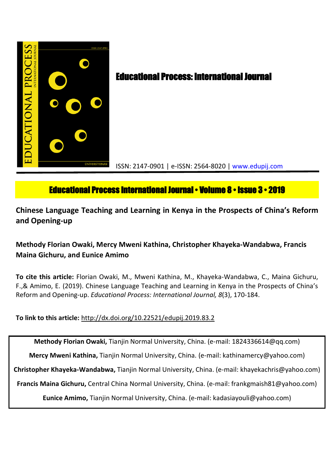

# **Educational Process: International Journal**

ISSN: 2147-0901 | e-ISSN: 2564-8020 | www.edupij.com

## **Educational Process International Journal • Volume 8 • Issue 3 • 2019**

**Chinese Language Teaching and Learning in Kenya in the Prospects of China's Reform and Opening-up**

## **Methody Florian Owaki, Mercy Mweni Kathina, Christopher Khayeka-Wandabwa, Francis Maina Gichuru, and Eunice Amimo**

**To cite this article:** Florian Owaki, M., Mweni Kathina, M., Khayeka-Wandabwa, C., Maina Gichuru, F.,& Amimo, E. (2019). Chinese Language Teaching and Learning in Kenya in the Prospects of China's Reform and Opening-up. *Educational Process: International Journal, 8*(3), 170-184.

**To link to this article:** http://dx.doi.org/10.22521/edupij.2019.83.2

**Methody Florian Owaki,** Tianjin Normal University, China. (e-mail: 1824336614@qq.com)

**Mercy Mweni Kathina,** Tianjin Normal University, China. (e-mail: kathinamercy@yahoo.com)

**Christopher Khayeka-Wandabwa,** Tianjin Normal University, China. (e-mail: khayekachris@yahoo.com)

**Francis Maina Gichuru,** Central China Normal University, China. (e-mail: frankgmaish81@yahoo.com)

**Eunice Amimo,** Tianjin Normal University, China. (e-mail: kadasiayouli@yahoo.com)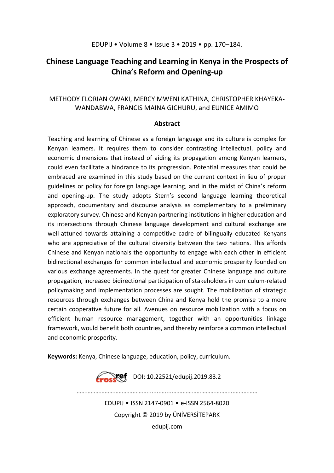## **Chinese Language Teaching and Learning in Kenya in the Prospects of China's Reform and Opening-up**

## METHODY FLORIAN OWAKI, MERCY MWENI KATHINA, CHRISTOPHER KHAYEKA-WANDABWA, FRANCIS MAINA GICHURU, and EUNICE AMIMO

### **Abstract**

Teaching and learning of Chinese as a foreign language and its culture is complex for Kenyan learners. It requires them to consider contrasting intellectual, policy and economic dimensions that instead of aiding its propagation among Kenyan learners, could even facilitate a hindrance to its progression. Potential measures that could be embraced are examined in this study based on the current context in lieu of proper guidelines or policy for foreign language learning, and in the midst of China's reform and opening-up. The study adopts Stern's second language learning theoretical approach, documentary and discourse analysis as complementary to a preliminary exploratory survey. Chinese and Kenyan partnering institutions in higher education and its intersections through Chinese language development and cultural exchange are well-attuned towards attaining a competitive cadre of bilingually educated Kenyans who are appreciative of the cultural diversity between the two nations. This affords Chinese and Kenyan nationals the opportunity to engage with each other in efficient bidirectional exchanges for common intellectual and economic prosperity founded on various exchange agreements. In the quest for greater Chinese language and culture propagation, increased bidirectional participation of stakeholders in curriculum-related policymaking and implementation processes are sought. The mobilization of strategic resources through exchanges between China and Kenya hold the promise to a more certain cooperative future for all. Avenues on resource mobilization with a focus on efficient human resource management, together with an opportunities linkage framework, would benefit both countries, and thereby reinforce a common intellectual and economic prosperity.

**Keywords:** Kenya, Chinese language, education, policy, curriculum.



EDUPIJ • ISSN 2147-0901 • e-ISSN 2564-8020 Copyright © 2019 by ÜNİVERSİTEPARK edupij.com

………………………………………........….....………………………………...……………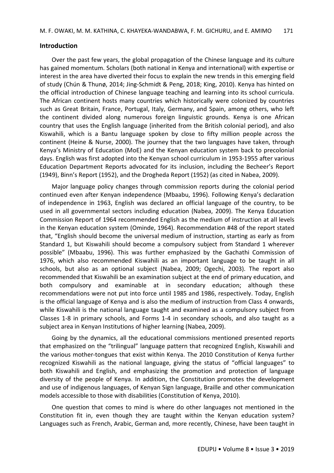#### **Introduction**

Over the past few years, the global propagation of the Chinese language and its culture has gained momentum. Scholars (both national in Kenya and international) with expertise or interest in the area have diverted their focus to explain the new trends in this emerging field of study (Chún & Thunø, 2014; Jing-Schmidt & Peng, 2018; King, 2010). Kenya has hinted on the official introduction of Chinese language teaching and learning into its school curricula. The African continent hosts many countries which historically were colonized by countries such as Great Britain, France, Portugal, Italy, Germany, and Spain, among others, who left the continent divided along numerous foreign linguistic grounds. Kenya is one African country that uses the English language (inherited from the British colonial period), and also Kiswahili, which is a Bantu language spoken by close to fifty million people across the continent (Heine & Nurse, 2000). The journey that the two languages have taken, through Kenya's Ministry of Education (MoE) and the Kenyan education system back to precolonial days. English was first adopted into the Kenyan school curriculum in 1953-1955 after various Education Department Reports advocated for its inclusion, including the Becheer's Report (1949), Binn's Report (1952), and the Drogheda Report (1952) (as cited in Nabea, 2009).

Major language policy changes through commission reports during the colonial period continued even after Kenyan independence (Mbaabu, 1996). Following Kenya's declaration of independence in 1963, English was declared an official language of the country, to be used in all governmental sectors including education (Nabea, 2009). The Kenya Education Commission Report of 1964 recommended English as the medium of instruction at all levels in the Kenyan education system (Ominde, 1964). Recommendation #48 of the report stated that, "English should become the universal medium of instruction, starting as early as from Standard 1, but Kiswahili should become a compulsory subject from Standard 1 wherever possible" (Mbaabu, 1996). This was further emphasized by the Gachathi Commission of 1976, which also recommended Kiswahili as an important language to be taught in all schools, but also as an optional subject (Nabea, 2009; Ogechi, 2003). The report also recommended that Kiswahili be an examination subject at the end of primary education, and both compulsory and examinable at in secondary education; although these recommendations were not put into force until 1985 and 1986, respectively. Today, English is the official language of Kenya and is also the medium of instruction from Class 4 onwards, while Kiswahili is the national language taught and examined as a compulsory subject from Classes 1-8 in primary schools, and Forms 1-4 in secondary schools, and also taught as a subject area in Kenyan Institutions of higher learning (Nabea, 2009).

Going by the dynamics, all the educational commissions mentioned presented reports that emphasized on the "trilingual" language pattern that recognized English, Kiswahili and the various mother-tongues that exist within Kenya. The 2010 Constitution of Kenya further recognized Kiswahili as the national language, giving the status of "official languages" to both Kiswahili and English, and emphasizing the promotion and protection of language diversity of the people of Kenya. In addition, the Constitution promotes the development and use of indigenous languages, of Kenyan Sign language, Braille and other communication models accessible to those with disabilities (Constitution of Kenya, 2010).

One question that comes to mind is where do other languages not mentioned in the Constitution fit in, even though they are taught within the Kenyan education system? Languages such as French, Arabic, German and, more recently, Chinese, have been taught in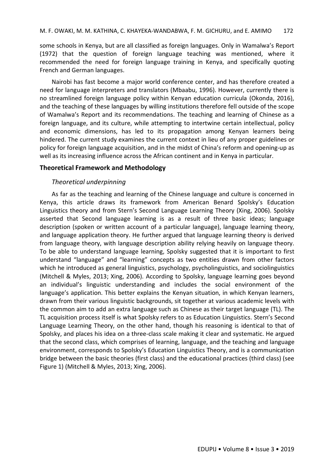some schools in Kenya, but are all classified as foreign languages. Only in Wamalwa's Report (1972) that the question of foreign language teaching was mentioned, where it recommended the need for foreign language training in Kenya, and specifically quoting French and German languages.

Nairobi has fast become a major world conference center, and has therefore created a need for language interpreters and translators (Mbaabu, 1996). However, currently there is no streamlined foreign language policy within Kenyan education curricula (Okonda, 2016), and the teaching of these languages by willing institutions therefore fell outside of the scope of Wamalwa's Report and its recommendations. The teaching and learning of Chinese as a foreign language, and its culture, while attempting to intertwine certain intellectual, policy and economic dimensions, has led to its propagation among Kenyan learners being hindered. The current study examines the current context in lieu of any proper guidelines or policy for foreign language acquisition, and in the midst of China's reform and opening-up as well as its increasing influence across the African continent and in Kenya in particular.

## **Theoretical Framework and Methodology**

## *Theoretical underpinning*

As far as the teaching and learning of the Chinese language and culture is concerned in Kenya, this article draws its framework from American Benard Spolsky's Education Linguistics theory and from Stern's Second Language Learning Theory (Xing, 2006). Spolsky asserted that Second language learning is as a result of three basic ideas; language description (spoken or written account of a particular language), language learning theory, and language application theory. He further argued that language learning theory is derived from language theory, with language description ability relying heavily on language theory. To be able to understand language learning, Spolsky suggested that it is important to first understand "language" and "learning" concepts as two entities drawn from other factors which he introduced as general linguistics, psychology, psycholinguistics, and sociolinguistics (Mitchell & Myles, 2013; Xing, 2006). According to Spolsky, language learning goes beyond an individual's linguistic understanding and includes the social environment of the language's application. This better explains the Kenyan situation, in which Kenyan learners, drawn from their various linguistic backgrounds, sit together at various academic levels with the common aim to add an extra language such as Chinese as their target language (TL). The TL acquisition process itself is what Spolsky refers to as Education Linguistics. Stern's Second Language Learning Theory, on the other hand, though his reasoning is identical to that of Spolsky, and places his idea on a three-class scale making it clear and systematic. He argued that the second class, which comprises of learning, language, and the teaching and language environment, corresponds to Spolsky's Education Linguistics Theory, and is a communication bridge between the basic theories (first class) and the educational practices (third class) (see Figure 1) (Mitchell & Myles, 2013; Xing, 2006).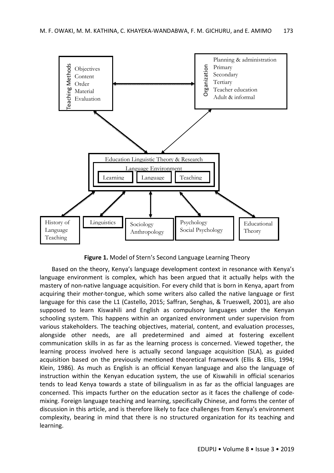

**Figure 1.** Model of Stern's Second Language Learning Theory

Based on the theory, Kenya's language development context in resonance with Kenya's language environment is complex, which has been argued that it actually helps with the mastery of non-native language acquisition. For every child that is born in Kenya, apart from acquiring their mother-tongue, which some writers also called the native language or first language for this case the L1 (Castello, 2015; Saffran, Senghas, & Trueswell, 2001), are also supposed to learn Kiswahili and English as compulsory languages under the Kenyan schooling system. This happens within an organized environment under supervision from various stakeholders. The teaching objectives, material, content, and evaluation processes, alongside other needs, are all predetermined and aimed at fostering excellent communication skills in as far as the learning process is concerned. Viewed together, the learning process involved here is actually second language acquisition (SLA), as guided acquisition based on the previously mentioned theoretical framework (Ellis & Ellis, 1994; Klein, 1986). As much as English is an official Kenyan language and also the language of instruction within the Kenyan education system, the use of Kiswahili in official scenarios tends to lead Kenya towards a state of bilingualism in as far as the official languages are concerned. This impacts further on the education sector as it faces the challenge of codemixing. Foreign language teaching and learning, specifically Chinese, and forms the center of discussion in this article, and is therefore likely to face challenges from Kenya's environment complexity, bearing in mind that there is no structured organization for its teaching and learning.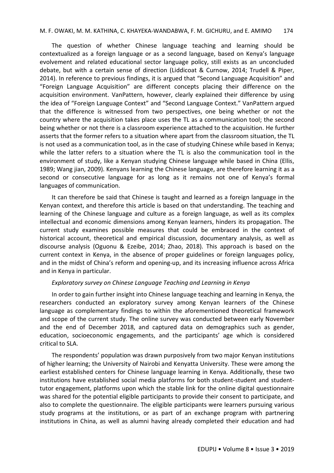The question of whether Chinese language teaching and learning should be contextualized as a foreign language or as a second language, based on Kenya's language evolvement and related educational sector language policy, still exists as an unconcluded debate, but with a certain sense of direction (Liddicoat & Curnow, 2014; Trudell & Piper, 2014). In reference to previous findings, it is argued that "Second Language Acquisition" and "Foreign Language Acquisition" are different concepts placing their difference on the acquisition environment. VanPattern, however, clearly explained their difference by using the idea of "Foreign Language Context" and "Second Language Context." VanPattern argued that the difference is witnessed from two perspectives, one being whether or not the country where the acquisition takes place uses the TL as a communication tool; the second being whether or not there is a classroom experience attached to the acquisition. He further asserts that the former refers to a situation where apart from the classroom situation, the TL is not used as a communication tool, as in the case of studying Chinese while based in Kenya; while the latter refers to a situation where the TL is also the communication tool in the environment of study, like a Kenyan studying Chinese language while based in China (Ellis, 1989; Wang jian, 2009). Kenyans learning the Chinese language, are therefore learning it as a second or consecutive language for as long as it remains not one of Kenya's formal languages of communication.

It can therefore be said that Chinese is taught and learned as a foreign language in the Kenyan context, and therefore this article is based on that understanding. The teaching and learning of the Chinese language and culture as a foreign language, as well as its complex intellectual and economic dimensions among Kenyan learners, hinders its propagation. The current study examines possible measures that could be embraced in the context of historical account, theoretical and empirical discussion, documentary analysis, as well as discourse analysis (Oguonu & Ezeibe, 2014; Zhao, 2018). This approach is based on the current context in Kenya, in the absence of proper guidelines or foreign languages policy, and in the midst of China's reform and opening-up, and its increasing influence across Africa and in Kenya in particular.

#### *Exploratory survey on Chinese Language Teaching and Learning in Kenya*

In order to gain further insight into Chinese language teaching and learning in Kenya, the researchers conducted an exploratory survey among Kenyan learners of the Chinese language as complementary findings to within the aforementioned theoretical framework and scope of the current study. The online survey was conducted between early November and the end of December 2018, and captured data on demographics such as gender, education, socioeconomic engagements, and the participants' age which is considered critical to SLA.

The respondents' population was drawn purposively from two major Kenyan institutions of higher learning; the University of Nairobi and Kenyatta University. These were among the earliest established centers for Chinese language learning in Kenya. Additionally, these two institutions have established social media platforms for both student-student and studenttutor engagement, platforms upon which the stable link for the online digital questionnaire was shared for the potential eligible participants to provide their consent to participate, and also to complete the questionnaire. The eligible participants were learners pursuing various study programs at the institutions, or as part of an exchange program with partnering institutions in China, as well as alumni having already completed their education and had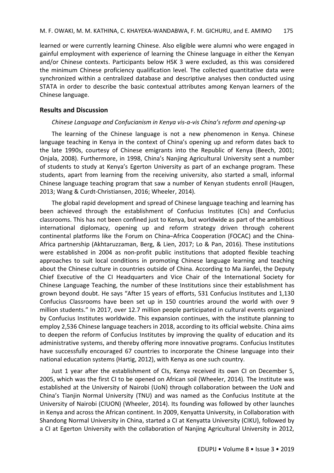learned or were currently learning Chinese. Also eligible were alumni who were engaged in gainful employment with experience of learning the Chinese language in either the Kenyan and/or Chinese contexts. Participants below HSK 3 were excluded, as this was considered the minimum Chinese proficiency qualification level. The collected quantitative data were synchronized within a centralized database and descriptive analyses then conducted using STATA in order to describe the basic contextual attributes among Kenyan learners of the Chinese language.

### **Results and Discussion**

### *Chinese Language and Confucianism in Kenya vis-a-vis China's reform and opening-up*

The learning of the Chinese language is not a new phenomenon in Kenya. Chinese language teaching in Kenya in the context of China's opening up and reform dates back to the late 1990s, courtesy of Chinese emigrants into the Republic of Kenya (Beech, 2001; Onjala, 2008). Furthermore, in 1998, China's Nanjing Agricultural University sent a number of students to study at Kenya's Egerton University as part of an exchange program. These students, apart from learning from the receiving university, also started a small, informal Chinese language teaching program that saw a number of Kenyan students enroll (Haugen, 2013; Wang & Curdt-Christiansen, 2016; Wheeler, 2014).

The global rapid development and spread of Chinese language teaching and learning has been achieved through the establishment of Confucius Institutes (CIs) and Confucius classrooms. This has not been confined just to Kenya, but worldwide as part of the ambitious international diplomacy, opening up and reform strategy driven through coherent continental platforms like the Forum on China–Africa Cooperation (FOCAC) and the China-Africa partnership (Akhtaruzzaman, Berg, & Lien, 2017; Lo & Pan, 2016). These institutions were established in 2004 as non-profit public institutions that adopted flexible teaching approaches to suit local conditions in promoting Chinese language learning and teaching about the Chinese culture in countries outside of China. According to Ma Jianfei, the Deputy Chief Executive of the CI Headquarters and Vice Chair of the International Society for Chinese Language Teaching, the number of these Institutions since their establishment has grown beyond doubt. He says "After 15 years of efforts, 531 Confucius Institutes and 1,130 Confucius Classrooms have been set up in 150 countries around the world with over 9 million students." In 2017, over 12.7 million people participated in cultural events organized by Confucius Institutes worldwide. This expansion continues, with the institute planning to employ 2,536 Chinese language teachers in 2018, according to its official website. China aims to deepen the reform of Confucius Institutes by improving the quality of education and its administrative systems, and thereby offering more innovative programs. Confucius Institutes have successfully encouraged 67 countries to incorporate the Chinese language into their national education systems (Hartig, 2012), with Kenya as one such country.

Just 1 year after the establishment of CIs, Kenya received its own CI on December 5, 2005, which was the first CI to be opened on African soil (Wheeler, 2014). The Institute was established at the University of Nairobi (UoN) through collaboration between the UoN and China's Tianjin Normal University (TNU) and was named as the Confucius Institute at the University of Nairobi (CIUON) (Wheeler, 2014). Its founding was followed by other launches in Kenya and across the African continent. In 2009, Kenyatta University, in Collaboration with Shandong Normal University in China, started a CI at Kenyatta University (CIKU), followed by a CI at Egerton University with the collaboration of Nanjing Agricultural University in 2012,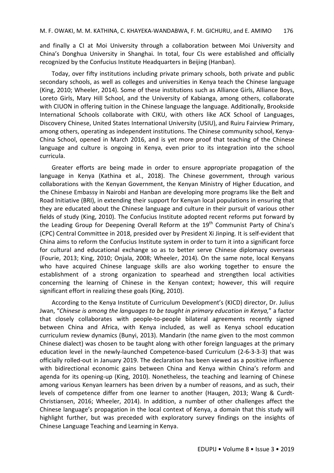and finally a CI at Moi University through a collaboration between Moi University and China's Donghua University in Shanghai. In total, four CIs were established and officially recognized by the Confucius Institute Headquarters in Beijing (Hanban).

Today, over fifty institutions including private primary schools, both private and public secondary schools, as well as colleges and universities in Kenya teach the Chinese language (King, 2010; Wheeler, 2014). Some of these institutions such as Alliance Girls, Alliance Boys, Loreto Girls, Mary Hill School, and the University of Kabianga, among others, collaborate with CIUON in offering tuition in the Chinese language the language. Additionally, Brookside International Schools collaborate with CIKU, with others like ACK School of Languages, Discovery Chinese, United States International University (USIU), and Ruiru Fairview Primary, among others, operating as independent institutions. The Chinese community school, Kenya-China School, opened in March 2016, and is yet more proof that teaching of the Chinese language and culture is ongoing in Kenya, even prior to its integration into the school curricula.

Greater efforts are being made in order to ensure appropriate propagation of the language in Kenya (Kathina et al., 2018). The Chinese government, through various collaborations with the Kenyan Government, the Kenyan Ministry of Higher Education, and the Chinese Embassy in Nairobi and Hanban are developing more programs like the Belt and Road Initiative (BRI), in extending their support for Kenyan local populations in ensuring that they are educated about the Chinese language and culture in their pursuit of various other fields of study (King, 2010). The Confucius Institute adopted recent reforms put forward by the Leading Group for Deepening Overall Reform at the 19<sup>th</sup> Communist Party of China's (CPC) Central Committee in 2018, presided over by President Xi Jinping. It is self-evident that China aims to reform the Confucius Institute system in order to turn it into a significant force for cultural and educational exchange so as to better serve Chinese diplomacy overseas (Fourie, 2013; King, 2010; Onjala, 2008; Wheeler, 2014). On the same note, local Kenyans who have acquired Chinese language skills are also working together to ensure the establishment of a strong organization to spearhead and strengthen local activities concerning the learning of Chinese in the Kenyan context; however, this will require significant effort in realizing these goals (King, 2010).

According to the Kenya Institute of Curriculum Development's (KICD) director, Dr. Julius Jwan, "*Chinese is among the languages to be taught in primary education in Kenya,*" a factor that closely collaborates with people-to-people bilateral agreements recently signed between China and Africa, with Kenya included, as well as Kenya school education curriculum review dynamics (Bunyi, 2013). Mandarin (the name given to the most common Chinese dialect) was chosen to be taught along with other foreign languages at the primary education level in the newly-launched Competence-based Curriculum (2-6-3-3-3) that was officially rolled-out in January 2019. The declaration has been viewed as a positive influence with bidirectional economic gains between China and Kenya within China's reform and agenda for its opening-up (King, 2010). Nonetheless, the teaching and learning of Chinese among various Kenyan learners has been driven by a number of reasons, and as such, their levels of competence differ from one learner to another (Haugen, 2013; Wang & Curdt-Christiansen, 2016; Wheeler, 2014). In addition, a number of other challenges affect the Chinese language's propagation in the local context of Kenya, a domain that this study will highlight further, but was preceded with exploratory survey findings on the insights of Chinese Language Teaching and Learning in Kenya.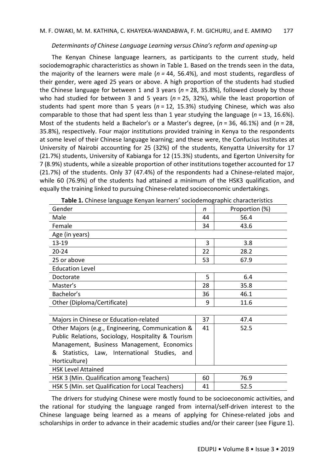#### *Determinants of Chinese Language Learning versus China's reform and opening-up*

The Kenyan Chinese language learners, as participants to the current study, held sociodemographic characteristics as shown in Table 1. Based on the trends seen in the data, the majority of the learners were male (*n =* 44, 56.4%), and most students, regardless of their gender, were aged 25 years or above. A high proportion of the students had studied the Chinese language for between 1 and 3 years (*n* = 28, 35.8%), followed closely by those who had studied for between 3 and 5 years (*n* = 25, 32%), while the least proportion of students had spent more than 5 years (*n* = 12, 15.3%) studying Chinese, which was also comparable to those that had spent less than 1 year studying the language (*n* = 13, 16.6%). Most of the students held a Bachelor's or a Master's degree, (*n* = 36, 46.1%) and (*n* = 28, 35.8%), respectively. Four major institutions provided training in Kenya to the respondents at some level of their Chinese language learning; and these were, the Confucius Institutes at University of Nairobi accounting for 25 (32%) of the students, Kenyatta University for 17 (21.7%) students, University of Kabianga for 12 (15.3%) students, and Egerton University for 7 (8.9%) students, while a sizeable proportion of other institutions together accounted for 17 (21.7%) of the students. Only 37 (47.4%) of the respondents had a Chinese-related major, while 60 (76.9%) of the students had attained a minimum of the HSK3 qualification, and equally the training linked to pursuing Chinese-related socioeconomic undertakings.

| <b>Table 1.</b> Chinese language Kenyan learners' sociodemographic characteristics |    |                |
|------------------------------------------------------------------------------------|----|----------------|
| Gender                                                                             | n  | Proportion (%) |
| Male                                                                               | 44 | 56.4           |
| Female                                                                             | 34 | 43.6           |
| Age (in years)                                                                     |    |                |
| 13-19                                                                              | 3  | 3.8            |
| $20 - 24$                                                                          | 22 | 28.2           |
| 25 or above                                                                        | 53 | 67.9           |
| <b>Education Level</b>                                                             |    |                |
| Doctorate                                                                          | 5  | 6.4            |
| Master's                                                                           | 28 | 35.8           |
| Bachelor's                                                                         | 36 | 46.1           |
| Other (Diploma/Certificate)                                                        | 9  | 11.6           |
|                                                                                    |    |                |
| Majors in Chinese or Education-related                                             | 37 | 47.4           |
| Other Majors (e.g., Engineering, Communication &                                   | 41 | 52.5           |
| Public Relations, Sociology, Hospitality & Tourism                                 |    |                |
| Management, Business Management, Economics                                         |    |                |
| & Statistics, Law, International Studies, and                                      |    |                |
| Horticulture)                                                                      |    |                |
| <b>HSK Level Attained</b>                                                          |    |                |
| HSK 3 (Min. Qualification among Teachers)                                          | 60 | 76.9           |
| HSK 5 (Min. set Qualification for Local Teachers)                                  | 41 | 52.5           |

**Table 1.** Chinese language Kenyan learners' sociodemographic characteristics

The drivers for studying Chinese were mostly found to be socioeconomic activities, and the rational for studying the language ranged from internal/self-driven interest to the Chinese language being learned as a means of applying for Chinese-related jobs and scholarships in order to advance in their academic studies and/or their career (see Figure 1).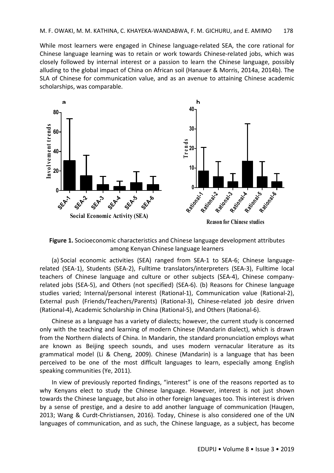While most learners were engaged in Chinese language-related SEA, the core rational for Chinese language learning was to retain or work towards Chinese-related jobs, which was closely followed by internal interest or a passion to learn the Chinese language, possibly alluding to the global impact of China on African soil (Hanauer & Morris, 2014a, 2014b). The SLA of Chinese for communication value, and as an avenue to attaining Chinese academic scholarships, was comparable.



**Figure 1.** Socioeconomic characteristics and Chinese language development attributes among Kenyan Chinese language learners

(a) Social economic activities (SEA) ranged from SEA-1 to SEA-6; Chinese languagerelated (SEA-1), Students (SEA-2), Fulltime translators/interpreters (SEA-3), Fulltime local teachers of Chinese language and culture or other subjects (SEA-4), Chinese companyrelated jobs (SEA-5), and Others (not specified) (SEA-6). (b) Reasons for Chinese language studies varied; Internal/personal interest (Rational-1), Communication value (Rational-2), External push (Friends/Teachers/Parents) (Rational-3), Chinese-related job desire driven (Rational-4), Academic Scholarship in China (Rational-5), and Others (Rational-6).

Chinese as a language has a variety of dialects; however, the current study is concerned only with the teaching and learning of modern Chinese (Mandarin dialect), which is drawn from the Northern dialects of China. In Mandarin, the standard pronunciation employs what are known as Beijing speech sounds, and uses modern vernacular literature as its grammatical model (Li & Cheng, 2009). Chinese (Mandarin) is a language that has been perceived to be one of the most difficult languages to learn, especially among English speaking communities (Ye, 2011).

In view of previously reported findings, "interest" is one of the reasons reported as to why Kenyans elect to study the Chinese language. However, interest is not just shown towards the Chinese language, but also in other foreign languages too. This interest is driven by a sense of prestige, and a desire to add another language of communication (Haugen, 2013; Wang & Curdt-Christiansen, 2016). Today, Chinese is also considered one of the UN languages of communication, and as such, the Chinese language, as a subject, has become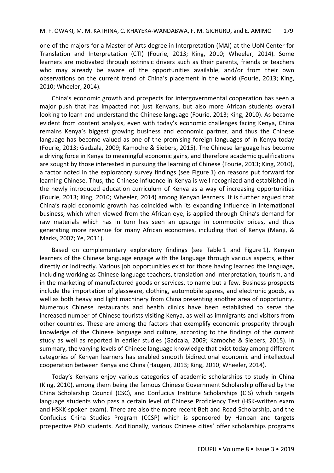one of the majors for a Master of Arts degree in Interpretation (MAI) at the UoN Center for Translation and Interpretation (CTI) (Fourie, 2013; King, 2010; Wheeler, 2014). Some learners are motivated through extrinsic drivers such as their parents, friends or teachers who may already be aware of the opportunities available, and/or from their own observations on the current trend of China's placement in the world (Fourie, 2013; King, 2010; Wheeler, 2014).

China's economic growth and prospects for intergovernmental cooperation has seen a major push that has impacted not just Kenyans, but also more African students overall looking to learn and understand the Chinese language (Fourie, 2013; King, 2010). As became evident from content analysis, even with today's economic challenges facing Kenya, China remains Kenya's biggest growing business and economic partner, and thus the Chinese language has become valued as one of the promising foreign languages of in Kenya today (Fourie, 2013; Gadzala, 2009; Kamoche & Siebers, 2015). The Chinese language has become a driving force in Kenya to meaningful economic gains, and therefore academic qualifications are sought by those interested in pursuing the learning of Chinese (Fourie, 2013; King, 2010), a factor noted in the exploratory survey findings (see Figure 1) on reasons put forward for learning Chinese. Thus, the Chinese influence in Kenya is well recognized and established in the newly introduced education curriculum of Kenya as a way of increasing opportunities (Fourie, 2013; King, 2010; Wheeler, 2014) among Kenyan learners. It is further argued that China's rapid economic growth has coincided with its expanding influence in international business, which when viewed from the African eye, is applied through China's demand for raw materials which has in turn has seen an upsurge in commodity prices, and thus generating more revenue for many African economies, including that of Kenya (Manji, & Marks, 2007; Ye, 2011).

Based on complementary exploratory findings (see Table 1 and Figure 1), Kenyan learners of the Chinese language engage with the language through various aspects, either directly or indirectly. Various job opportunities exist for those having learned the language, including working as Chinese language teachers, translation and interpretation, tourism, and in the marketing of manufactured goods or services, to name but a few. Business prospects include the importation of glassware, clothing, automobile spares, and electronic goods, as well as both heavy and light machinery from China presenting another area of opportunity. Numerous Chinese restaurants and health clinics have been established to serve the increased number of Chinese tourists visiting Kenya, as well as immigrants and visitors from other countries. These are among the factors that exemplify economic prosperity through knowledge of the Chinese language and culture, according to the findings of the current study as well as reported in earlier studies (Gadzala, 2009; Kamoche & Siebers, 2015). In summary, the varying levels of Chinese language knowledge that exist today among different categories of Kenyan learners has enabled smooth bidirectional economic and intellectual cooperation between Kenya and China (Haugen, 2013; King, 2010; Wheeler, 2014).

Today's Kenyans enjoy various categories of academic scholarships to study in China (King, 2010), among them being the famous Chinese Government Scholarship offered by the China Scholarship Council (CSC), and Confucius Institute Scholarships (CIS) which targets language students who pass a certain level of Chinese Proficiency Test (HSK-written exam and HSKK-spoken exam). There are also the more recent Belt and Road Scholarship, and the Confucius China Studies Program (CCSP) which is sponsored by Hanban and targets prospective PhD students. Additionally, various Chinese cities' offer scholarships programs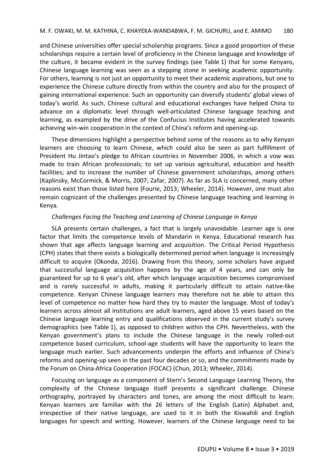and Chinese universities offer special scholarship programs. Since a good proportion of these scholarships require a certain level of proficiency in the Chinese language and knowledge of the culture, it became evident in the survey findings (see Table 1) that for some Kenyans, Chinese language learning was seen as a stepping stone in seeking academic opportunity. For others, learning is not just an opportunity to meet their academic aspirations, but one to experience the Chinese culture directly from within the country and also for the prospect of gaining international experience. Such an opportunity can diversify students' global views of today's world. As such, Chinese cultural and educational exchanges have helped China to advance on a diplomatic level through well-articulated Chinese language teaching and learning, as exampled by the drive of the Confucius Institutes having accelerated towards achieving win-win cooperation in the context of China's reform and opening-up.

These dimensions highlight a perspective behind some of the reasons as to why Kenyan learners are choosing to learn Chinese, which could also be seen as part fulfillment of President Hu Jintao's pledge to African countries in November 2006, in which a vow was made to train African professionals; to set up various agricultural, education and health facilities; and to increase the number of Chinese government scholarships, among others (Kaplinsky, McCormick, & Morris, 2007; Zafar, 2007). As far as SLA is concerned, many other reasons exist than those listed here (Fourie, 2013; Wheeler, 2014). However, one must also remain cognizant of the challenges presented by Chinese language teaching and learning in Kenya.

#### *Challenges Facing the Teaching and Learning of Chinese Language in Kenya*

SLA presents certain challenges, a fact that is largely unavoidable. Learner age is one factor that limits the competence levels of Mandarin in Kenya. Educational research has shown that age affects language learning and acquisition. The Critical Period Hypothesis (CPH) states that there exists a biologically determined period when language is increasingly difficult to acquire (Okonda, 2016). Drawing from this theory, some scholars have argued that successful language acquisition happens by the age of 4 years, and can only be guaranteed for up to 6 year's old, after which language acquisition becomes compromised and is rarely successful in adults, making it particularly difficult to attain native-like competence. Kenyan Chinese language learners may therefore not be able to attain this level of competence no matter how hard they try to master the language. Most of today's learners across almost all institutions are adult learners, aged above 15 years based on the Chinese language learning entry and qualifications observed in the current study's survey demographics (see Table 1), as opposed to children within the CPH. Nevertheless, with the Kenyan government's plans to include the Chinese language in the newly rolled-out competence based curriculum, school-age students will have the opportunity to learn the language much earlier. Such advancements underpin the efforts and influence of China's reforms and opening-up seen in the past four decades or so, and the commitments made by the Forum on China-Africa Cooperation (FOCAC) (Chun, 2013; Wheeler, 2014).

Focusing on language as a component of Stern's Second Language Learning Theory, the complexity of the Chinese language itself presents a significant challenge. Chinese orthography, portrayed by characters and tones, are among the most difficult to learn. Kenyan learners are familiar with the 26 letters of the English (Latin) Alphabet and, irrespective of their native language, are used to it in both the Kiswahili and English languages for speech and writing. However, learners of the Chinese language need to be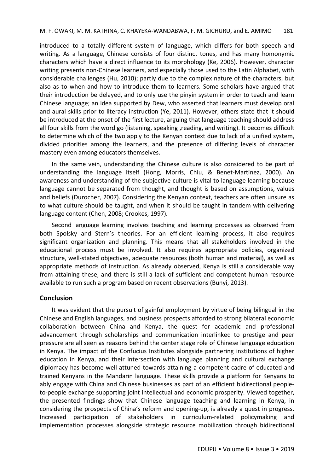introduced to a totally different system of language, which differs for both speech and writing. As a language, Chinese consists of four distinct tones, and has many homonymic characters which have a direct influence to its morphology (Ke, 2006). However, character writing presents non-Chinese learners, and especially those used to the Latin Alphabet, with considerable challenges (Hu, 2010); partly due to the complex nature of the characters, but also as to when and how to introduce them to learners. Some scholars have argued that their introduction be delayed, and to only use the pinyin system in order to teach and learn Chinese language; an idea supported by Dew, who asserted that learners must develop oral and aural skills prior to literacy instruction (Ye, 2011). However, others state that it should be introduced at the onset of the first lecture, arguing that language teaching should address all four skills from the word go (listening, speaking ,reading, and writing). It becomes difficult to determine which of the two apply to the Kenyan context due to lack of a unified system, divided priorities among the learners, and the presence of differing levels of character mastery even among educators themselves.

In the same vein, understanding the Chinese culture is also considered to be part of understanding the language itself (Hong, Morris, Chiu, & Benet-Martinez, 2000). An awareness and understanding of the subjective culture is vital to language learning because language cannot be separated from thought, and thought is based on assumptions, values and beliefs (Durocher, 2007). Considering the Kenyan context, teachers are often unsure as to what culture should be taught, and when it should be taught in tandem with delivering language content (Chen, 2008; Crookes, 1997).

Second language learning involves teaching and learning processes as observed from both Spolsky and Stern's theories. For an efficient learning process, it also requires significant organization and planning. This means that all stakeholders involved in the educational process must be involved. It also requires appropriate policies, organized structure, well-stated objectives, adequate resources (both human and material), as well as appropriate methods of instruction. As already observed, Kenya is still a considerable way from attaining these, and there is still a lack of sufficient and competent human resource available to run such a program based on recent observations (Bunyi, 2013).

#### **Conclusion**

It was evident that the pursuit of gainful employment by virtue of being bilingual in the Chinese and English languages, and business prospects afforded to strong bilateral economic collaboration between China and Kenya, the quest for academic and professional advancement through scholarships and communication interlinked to prestige and peer pressure are all seen as reasons behind the center stage role of Chinese language education in Kenya. The impact of the Confucius Institutes alongside partnering institutions of higher education in Kenya, and their intersection with language planning and cultural exchange diplomacy has become well-attuned towards attaining a competent cadre of educated and trained Kenyans in the Mandarin language. These skills provide a platform for Kenyans to ably engage with China and Chinese businesses as part of an efficient bidirectional peopleto-people exchange supporting joint intellectual and economic prosperity. Viewed together, the presented findings show that Chinese language teaching and learning in Kenya, in considering the prospects of China's reform and opening-up, is already a quest in progress. Increased participation of stakeholders in curriculum-related policymaking and implementation processes alongside strategic resource mobilization through bidirectional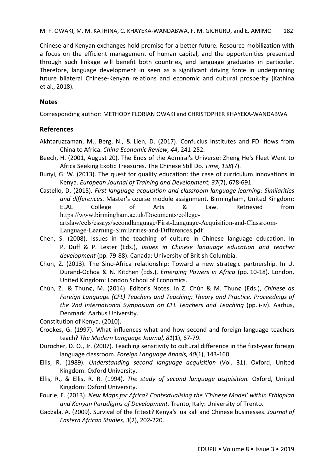Chinese and Kenyan exchanges hold promise for a better future. Resource mobilization with a focus on the efficient management of human capital, and the opportunities presented through such linkage will benefit both countries, and language graduates in particular. Therefore, language development in seen as a significant driving force in underpinning future bilateral Chinese-Kenyan relations and economic and cultural prosperity (Kathina et al., 2018).

## **Notes**

Corresponding author: METHODY FLORIAN OWAKI and CHRISTOPHER KHAYEKA-WANDABWA

## **References**

- Akhtaruzzaman, M., Berg, N., & Lien, D. (2017). Confucius Institutes and FDI flows from China to Africa. *China Economic Review, 44*, 241-252.
- Beech, H. (2001, August 20). The Ends of the Admiral's Universe: Zheng He's Fleet Went to Africa Seeking Exotic Treasures. The Chinese Still Do. *Time, 158*(7).
- Bunyi, G. W. (2013). The quest for quality education: the case of curriculum innovations in Kenya. *European Journal of Training and Development, 37*(7), 678-691.
- Castello, D. (2015). *First language acquisition and classroom language learning: Similarities and differences*. Master's course module assignment. Birmingham, United Kingdom: ELAL College of Arts & Law. Retrieved from https://www.birmingham.ac.uk/Documents/collegeartslaw/cels/essays/secondlanguage/First-Language-Acquisition-and-Classroom-Language-Learning-Similarities-and-Differences.pdf
- Chen, S. (2008). Issues in the teaching of culture in Chinese language education. In P. Duff & P. Lester (Eds.), *Issues in Chinese language education and teacher development* (pp. 79-88). Canada: University of British Columbia.
- Chun, Z. (2013). The Sino-Africa relationship: Toward a new strategic partnership. In U. Durand-Ochoa & N. Kitchen (Eds.), *Emerging Powers in Africa* (pp. 10-18). London, United Kingdom: London School of Economics.
- Chún, Z., & Thunø, M. (2014). Editor's Notes. In Z. Chún & M. Thunø (Eds.), *Chinese as Foreign Language (CFL) Teachers and Teaching: Theory and Practice. Proceedings of the 2nd International Symposium on CFL Teachers and Teaching* (pp. i-iv). Aarhus, Denmark: Aarhus University.
- Constitution of Kenya. (2010).
- Crookes, G. (1997). What influences what and how second and foreign language teachers teach? *The Modern Language Journal, 81*(1), 67-79.
- Durocher, D. O., Jr. (2007). Teaching sensitivity to cultural difference in the first-year foreign language classroom. *Foreign Language Annals, 40*(1), 143-160.
- Ellis, R. (1989). *Understanding second language acquisition* (Vol. 31). Oxford, United Kingdom: Oxford University.
- Ellis, R., & Ellis, R. R. (1994). *The study of second language acquisition.* Oxford, United Kingdom: Oxford University.
- Fourie, E. (2013). *New Maps for Africa? Contextualising the 'Chinese Model' within Ethiopian and Kenyan Paradigms of Development.* Trento, Italy: University of Trento.
- Gadzala, A. (2009). Survival of the fittest? Kenya's jua kali and Chinese businesses. *Journal of Eastern African Studies, 3*(2), 202-220.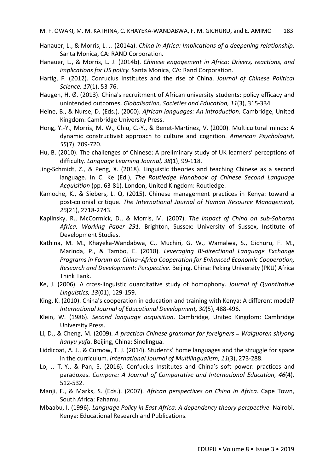- Hanauer, L., & Morris, L. J. (2014a). *China in Africa: Implications of a deepening relationship*. Santa Monica, CA: RAND Corporation.
- Hanauer, L., & Morris, L. J. (2014b). *Chinese engagement in Africa: Drivers, reactions, and implications for US policy.* Santa Monica, CA: Rand Corporation.
- Hartig, F. (2012). Confucius Institutes and the rise of China. *Journal of Chinese Political Science, 17*(1), 53-76.
- Haugen, H. Ø. (2013). China's recruitment of African university students: policy efficacy and unintended outcomes. *Globalisation, Societies and Education, 11*(3), 315-334.
- Heine, B., & Nurse, D. (Eds.). (2000). *African languages: An introduction.* Cambridge, United Kingdom: Cambridge University Press.
- Hong, Y.-Y., Morris, M. W., Chiu, C.-Y., & Benet-Martinez, V. (2000). Multicultural minds: A dynamic constructivist approach to culture and cognition. *American Psychologist, 55*(7), 709-720.
- Hu, B. (2010). The challenges of Chinese: A preliminary study of UK learners' perceptions of difficulty. *Language Learning Journal, 38*(1), 99-118.
- Jing-Schmidt, Z., & Peng, X. (2018). Linguistic theories and teaching Chinese as a second language. In C. Ke (Ed.), *The Routledge Handbook of Chinese Second Language Acquisition* (pp. 63-81). London, United Kingdom: Routledge.
- Kamoche, K., & Siebers, L. Q. (2015). Chinese management practices in Kenya: toward a post-colonial critique. *The International Journal of Human Resource Management, 26*(21), 2718-2743.
- Kaplinsky, R., McCormick, D., & Morris, M. (2007). *The impact of China on sub-Saharan Africa. Working Paper 291.* Brighton, Sussex: University of Sussex, Institute of Development Studies.
- Kathina, M. M., Khayeka-Wandabwa, C., Muchiri, G. W., Wamalwa, S., Gichuru, F. M., Marinda, P., & Tambo, E. (2018). *Leveraging Bi-directional Language Exchange Programs in Forum on China–Africa Cooperation for Enhanced Economic Cooperation, Research and Development: Perspective*. Beijing, China: Peking University (PKU) Africa Think Tank.
- Ke, J. (2006). A cross-linguistic quantitative study of homophony. *Journal of Quantitative Linguistics, 13*(01), 129-159.
- King, K. (2010). China's cooperation in education and training with Kenya: A different model? *International Journal of Educational Development, 30*(5), 488-496.
- Klein, W. (1986). *Second language acquisition*. Cambridge, United Kingdom: Cambridge University Press.
- Li, D., & Cheng, M. (2009). *A practical Chinese grammar for foreigners = Waiguoren shiyong hanyu yufa*. Beijing, China: Sinolingua.
- Liddicoat, A. J., & Curnow, T. J. (2014). Students' home languages and the struggle for space in the curriculum. *International Journal of Multilingualism, 11*(3), 273-288.
- Lo, J. T.-Y., & Pan, S. (2016). Confucius Institutes and China's soft power: practices and paradoxes. *Compare: A Journal of Comparative and International Education, 46*(4), 512-532.
- Manji, F., & Marks, S. (Eds.). (2007). *African perspectives on China in Africa*. Cape Town, South Africa: Fahamu.
- Mbaabu, I. (1996). *Language Policy in East Africa: A dependency theory perspective*. Nairobi, Kenya: Educational Research and Publications.